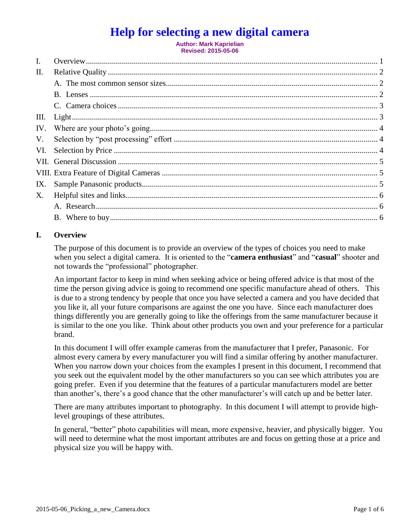# **Help for selecting a new digital camera**

**Author: Mark Kaprielian Revised: 2015-05-06**

| $\mathbf{I}$ . |  |
|----------------|--|
| П.             |  |
|                |  |
|                |  |
|                |  |
| Ш.             |  |
| IV.            |  |
| V.             |  |
| VI.            |  |
|                |  |
|                |  |
| IX.            |  |
| X.             |  |
|                |  |
|                |  |

## **I. Overview**

The purpose of this document is to provide an overview of the types of choices you need to make when you select a digital camera. It is oriented to the "**camera enthusiast**" and "**casual**" shooter and not towards the "professional" photographer.

An important factor to keep in mind when seeking advice or being offered advice is that most of the time the person giving advice is going to recommend one specific manufacture ahead of others. This is due to a strong tendency by people that once you have selected a camera and you have decided that you like it, all your future comparisons are against the one you have. Since each manufacturer does things differently you are generally going to like the offerings from the same manufacturer because it is similar to the one you like. Think about other products you own and your preference for a particular brand.

In this document I will offer example cameras from the manufacturer that I prefer, Panasonic. For almost every camera by every manufacturer you will find a similar offering by another manufacturer. When you narrow down your choices from the examples I present in this document, I recommend that you seek out the equivalent model by the other manufacturers so you can see which attributes you are going prefer. Even if you determine that the features of a particular manufacturers model are better than another's, there's a good chance that the other manufacturer's will catch up and be better later.

There are many attributes important to photography. In this document I will attempt to provide highlevel groupings of these attributes.

In general, "better" photo capabilities will mean, more expensive, heavier, and physically bigger. You will need to determine what the most important attributes are and focus on getting those at a price and physical size you will be happy with.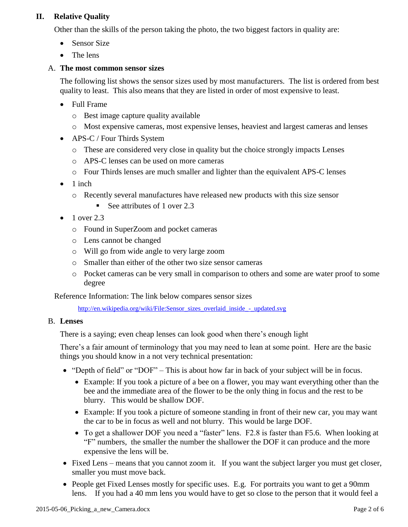# **II. Relative Quality**

Other than the skills of the person taking the photo, the two biggest factors in quality are:

- Sensor Size
- The lens

#### A. **The most common sensor sizes**

The following list shows the sensor sizes used by most manufacturers. The list is ordered from best quality to least. This also means that they are listed in order of most expensive to least.

- Full Frame
	- o Best image capture quality available
	- o Most expensive cameras, most expensive lenses, heaviest and largest cameras and lenses
- APS-C / Four Thirds System
	- o These are considered very close in quality but the choice strongly impacts Lenses
	- o APS-C lenses can be used on more cameras
	- o Four Thirds lenses are much smaller and lighter than the equivalent APS-C lenses
- $\bullet$  1 inch
	- o Recently several manufactures have released new products with this size sensor
		- See attributes of 1 over  $2.3$
- 1 over 2.3
	- o Found in SuperZoom and pocket cameras
	- o Lens cannot be changed
	- o Will go from wide angle to very large zoom
	- o Smaller than either of the other two size sensor cameras
	- o Pocket cameras can be very small in comparison to others and some are water proof to some degree

Reference Information: The link below compares sensor sizes

[http://en.wikipedia.org/wiki/File:Sensor\\_sizes\\_overlaid\\_inside\\_-\\_updated.svg](http://en.wikipedia.org/wiki/File:Sensor_sizes_overlaid_inside_-_updated.svg)

#### B. **Lenses**

There is a saying; even cheap lenses can look good when there's enough light

There's a fair amount of terminology that you may need to lean at some point. Here are the basic things you should know in a not very technical presentation:

- "Depth of field" or "DOF" This is about how far in back of your subject will be in focus.
	- Example: If you took a picture of a bee on a flower, you may want everything other than the bee and the immediate area of the flower to be the only thing in focus and the rest to be blurry. This would be shallow DOF.
	- Example: If you took a picture of someone standing in front of their new car, you may want the car to be in focus as well and not blurry. This would be large DOF.
	- To get a shallower DOF you need a "faster" lens. F2.8 is faster than F5.6. When looking at "F" numbers, the smaller the number the shallower the DOF it can produce and the more expensive the lens will be.
- Fixed Lens means that you cannot zoom it. If you want the subject larger you must get closer, smaller you must move back.
- People get Fixed Lenses mostly for specific uses. E.g. For portraits you want to get a 90mm lens. If you had a 40 mm lens you would have to get so close to the person that it would feel a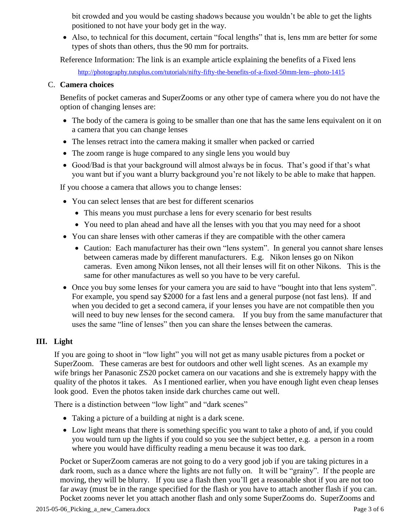bit crowded and you would be casting shadows because you wouldn't be able to get the lights positioned to not have your body get in the way.

• Also, to technical for this document, certain "focal lengths" that is, lens mm are better for some types of shots than others, thus the 90 mm for portraits.

Reference Information: The link is an example article explaining the benefits of a Fixed lens

<http://photography.tutsplus.com/tutorials/nifty-fifty-the-benefits-of-a-fixed-50mm-lens--photo-1415>

#### C. **Camera choices**

Benefits of pocket cameras and SuperZooms or any other type of camera where you do not have the option of changing lenses are:

- The body of the camera is going to be smaller than one that has the same lens equivalent on it on a camera that you can change lenses
- The lenses retract into the camera making it smaller when packed or carried
- The zoom range is huge compared to any single lens you would buy
- Good/Bad is that your background will almost always be in focus. That's good if that's what you want but if you want a blurry background you're not likely to be able to make that happen.

If you choose a camera that allows you to change lenses:

- You can select lenses that are best for different scenarios
	- This means you must purchase a lens for every scenario for best results
	- You need to plan ahead and have all the lenses with you that you may need for a shoot
- You can share lenses with other cameras if they are compatible with the other camera
	- Caution: Each manufacturer has their own "lens system". In general you cannot share lenses between cameras made by different manufacturers. E.g. Nikon lenses go on Nikon cameras. Even among Nikon lenses, not all their lenses will fit on other Nikons. This is the same for other manufactures as well so you have to be very careful.
- Once you buy some lenses for your camera you are said to have "bought into that lens system". For example, you spend say \$2000 for a fast lens and a general purpose (not fast lens). If and when you decided to get a second camera, if your lenses you have are not compatible then you will need to buy new lenses for the second camera. If you buy from the same manufacturer that uses the same "line of lenses" then you can share the lenses between the cameras.

## **III. Light**

If you are going to shoot in "low light" you will not get as many usable pictures from a pocket or SuperZoom. These cameras are best for outdoors and other well light scenes. As an example my wife brings her Panasonic ZS20 pocket camera on our vacations and she is extremely happy with the quality of the photos it takes. As I mentioned earlier, when you have enough light even cheap lenses look good. Even the photos taken inside dark churches came out well.

There is a distinction between "low light" and "dark scenes"

- Taking a picture of a building at night is a dark scene.
- Low light means that there is something specific you want to take a photo of and, if you could you would turn up the lights if you could so you see the subject better, e.g. a person in a room where you would have difficulty reading a menu because it was too dark.

Pocket or SuperZoom cameras are not going to do a very good job if you are taking pictures in a dark room, such as a dance where the lights are not fully on. It will be "grainy". If the people are moving, they will be blurry. If you use a flash then you'll get a reasonable shot if you are not too far away (must be in the range specified for the flash or you have to attach another flash if you can. Pocket zooms never let you attach another flash and only some SuperZooms do. SuperZooms and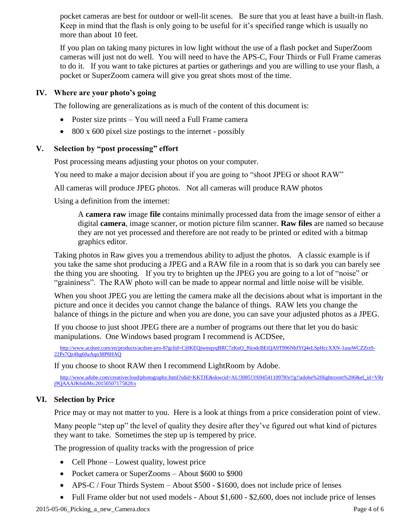pocket cameras are best for outdoor or well-lit scenes. Be sure that you at least have a built-in flash. Keep in mind that the flash is only going to be useful for it's specified range which is usually no more than about 10 feet.

If you plan on taking many pictures in low light without the use of a flash pocket and SuperZoom cameras will just not do well. You will need to have the APS-C, Four Thirds or Full Frame cameras to do it. If you want to take pictures at parties or gatherings and you are willing to use your flash, a pocket or SuperZoom camera will give you great shots most of the time.

#### **IV. Where are your photo's going**

The following are generalizations as is much of the content of this document is:

- Poster size prints You will need a Full Frame camera
- 800 x 600 pixel size postings to the internet possibly

#### **V. Selection by "post processing" effort**

Post processing means adjusting your photos on your computer.

You need to make a major decision about if you are going to "shoot JPEG or shoot RAW"

All cameras will produce JPEG photos. Not all cameras will produce RAW photos

Using a definition from the internet:

A **camera raw** image **file** contains minimally processed data from the image sensor of either a digital **camera**, image scanner, or motion picture film scanner. **Raw files** are named so because they are not yet processed and therefore are not ready to be printed or edited with a bitmap graphics editor.

Taking photos in Raw gives you a tremendous ability to adjust the photos. A classic example is if you take the same shot producing a JPEG and a RAW file in a room that is so dark you can barely see the thing you are shooting. If you try to brighten up the JPEG you are going to a lot of "noise" or "graininess". The RAW photo will can be made to appear normal and little noise will be visible.

When you shoot JPEG you are letting the camera make all the decisions about what is important in the picture and once it decides you cannot change the balance of things. RAW lets you change the balance of things in the picture and when you are done, you can save your adjusted photos as a JPEG.

If you choose to just shoot JPEG there are a number of programs out there that let you do basic manipulations. One Windows based program I recommend is ACDSee,

[http://www.acdsee.com/en/products/acdsee-pro-8?gclid=Cj0KEQjwmqyqBRC7zKnO\\_f6iodcBEiQA9T996NhfYQ4eLSpHccXXN-1asuWCZZrz9-](http://www.acdsee.com/en/products/acdsee-pro-8?gclid=Cj0KEQjwmqyqBRC7zKnO_f6iodcBEiQA9T996NhfYQ4eLSpHccXXN-1asuWCZZrz9-22Ps7Qz4Itg60aAqn38P8HAQ) [22Ps7Qz4Itg60aAqn38P8HAQ](http://www.acdsee.com/en/products/acdsee-pro-8?gclid=Cj0KEQjwmqyqBRC7zKnO_f6iodcBEiQA9T996NhfYQ4eLSpHccXXN-1asuWCZZrz9-22Ps7Qz4Itg60aAqn38P8HAQ)

If you choose to shoot RAW then I recommend LightRoom by Adobe.

[http://www.adobe.com/creativecloud/photography.html?sdid=KKTJE&skwcid=AL!3085!3!69454110978!e!!g!!adobe%20lightroom%206&ef\\_id=VRr](http://www.adobe.com/creativecloud/photography.html?sdid=KKTJE&skwcid=AL!3085!3!69454110978!e!!g!!adobe%20lightroom%206&ef_id=VRrj9QAAAJK6sbMs:20150507175828:s) [j9QAAAJK6sbMs:20150507175828:s](http://www.adobe.com/creativecloud/photography.html?sdid=KKTJE&skwcid=AL!3085!3!69454110978!e!!g!!adobe%20lightroom%206&ef_id=VRrj9QAAAJK6sbMs:20150507175828:s)

## **VI. Selection by Price**

Price may or may not matter to you. Here is a look at things from a price consideration point of view.

Many people "step up" the level of quality they desire after they've figured out what kind of pictures they want to take. Sometimes the step up is tempered by price.

The progression of quality tracks with the progression of price

- Cell Phone Lowest quality, lowest price
- Pocket camera or SuperZooms About \$600 to \$900
- APS-C / Four Thirds System About \$500 \$1600, does not include price of lenses
- Full Frame older but not used models About \$1,600 \$2,600, does not include price of lenses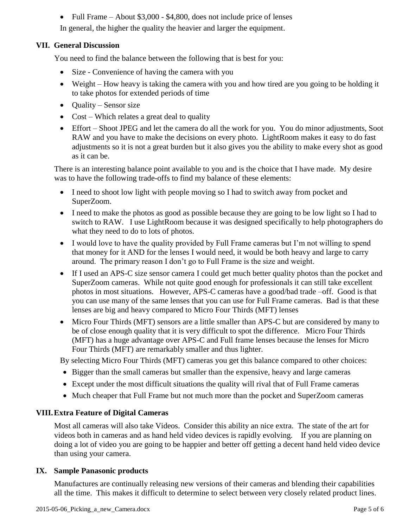• Full Frame – About \$3,000 - \$4,800, does not include price of lenses

In general, the higher the quality the heavier and larger the equipment.

# **VII. General Discussion**

You need to find the balance between the following that is best for you:

- Size Convenience of having the camera with you
- Weight How heavy is taking the camera with you and how tired are you going to be holding it to take photos for extended periods of time
- Quality Sensor size
- Cost Which relates a great deal to quality
- Effort Shoot JPEG and let the camera do all the work for you. You do minor adjustments, Soot RAW and you have to make the decisions on every photo. LightRoom makes it easy to do fast adjustments so it is not a great burden but it also gives you the ability to make every shot as good as it can be.

There is an interesting balance point available to you and is the choice that I have made. My desire was to have the following trade-offs to find my balance of these elements:

- I need to shoot low light with people moving so I had to switch away from pocket and SuperZoom.
- I need to make the photos as good as possible because they are going to be low light so I had to switch to RAW. I use LightRoom because it was designed specifically to help photographers do what they need to do to lots of photos.
- I would love to have the quality provided by Full Frame cameras but I'm not willing to spend that money for it AND for the lenses I would need, it would be both heavy and large to carry around. The primary reason I don't go to Full Frame is the size and weight.
- If I used an APS-C size sensor camera I could get much better quality photos than the pocket and SuperZoom cameras. While not quite good enough for professionals it can still take excellent photos in most situations. However, APS-C cameras have a good/bad trade –off. Good is that you can use many of the same lenses that you can use for Full Frame cameras. Bad is that these lenses are big and heavy compared to Micro Four Thirds (MFT) lenses
- Micro Four Thirds (MFT) sensors are a little smaller than APS-C but are considered by many to be of close enough quality that it is very difficult to spot the difference. Micro Four Thirds (MFT) has a huge advantage over APS-C and Full frame lenses because the lenses for Micro Four Thirds (MFT) are remarkably smaller and thus lighter.

By selecting Micro Four Thirds (MFT) cameras you get this balance compared to other choices:

- Bigger than the small cameras but smaller than the expensive, heavy and large cameras
- Except under the most difficult situations the quality will rival that of Full Frame cameras
- Much cheaper that Full Frame but not much more than the pocket and SuperZoom cameras

## **VIII.Extra Feature of Digital Cameras**

Most all cameras will also take Videos. Consider this ability an nice extra. The state of the art for videos both in cameras and as hand held video devices is rapidly evolving. If you are planning on doing a lot of video you are going to be happier and better off getting a decent hand held video device than using your camera.

## **IX. Sample Panasonic products**

Manufactures are continually releasing new versions of their cameras and blending their capabilities all the time. This makes it difficult to determine to select between very closely related product lines.